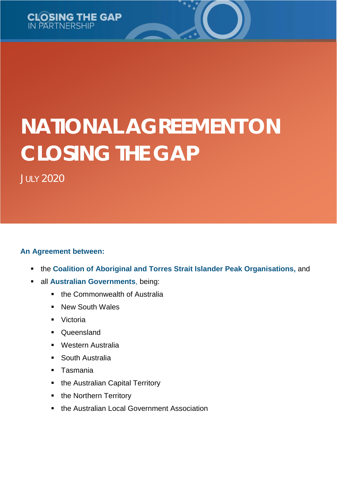

# **NATIONAL AGREEMENT ON CLOSING THE GAP**

JULY 2020

### **An Agreement between:**

- the **Coalition of Aboriginal and Torres Strait Islander Peak Organisations,** and
	- all **Australian Governments**, being:
		- **the Commonwealth of Australia**
		- **New South Wales**
		- **•** Victoria
		- Queensland
		- **Western Australia**
		- South Australia
		- **Tasmania**
		- the Australian Capital Territory
		- the Northern Territory
		- **the Australian Local Government Association**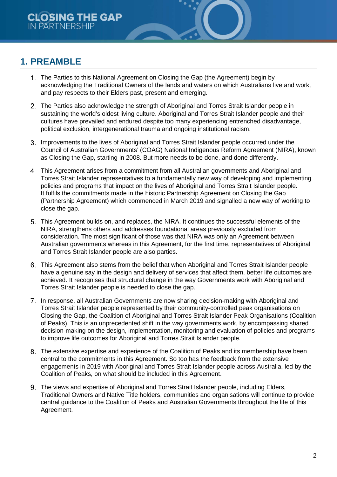# **1. PREAMBLE**

- The Parties to this National Agreement on Closing the Gap (the Agreement) begin by acknowledging the Traditional Owners of the lands and waters on which Australians live and work, and pay respects to their Elders past, present and emerging.
- 2. The Parties also acknowledge the strength of Aboriginal and Torres Strait Islander people in sustaining the world's oldest living culture. Aboriginal and Torres Strait Islander people and their cultures have prevailed and endured despite too many experiencing entrenched disadvantage, political exclusion, intergenerational trauma and ongoing institutional racism.
- 3. Improvements to the lives of Aboriginal and Torres Strait Islander people occurred under the Council of Australian Governments' (COAG) National Indigenous Reform Agreement (NIRA), known as Closing the Gap, starting in 2008. But more needs to be done, and done differently.
- This Agreement arises from a commitment from all Australian governments and Aboriginal and Torres Strait Islander representatives to a fundamentally new way of developing and implementing policies and programs that impact on the lives of Aboriginal and Torres Strait Islander people. It fulfils the commitments made in the historic Partnership Agreement on Closing the Gap (Partnership Agreement) which commenced in March 2019 and signalled a new way of working to close the gap.
- This Agreement builds on, and replaces, the NIRA. It continues the successful elements of the NIRA, strengthens others and addresses foundational areas previously excluded from consideration. The most significant of those was that NIRA was only an Agreement between Australian governments whereas in this Agreement, for the first time, representatives of Aboriginal and Torres Strait Islander people are also parties.
- This Agreement also stems from the belief that when Aboriginal and Torres Strait Islander people have a genuine say in the design and delivery of services that affect them, better life outcomes are achieved. It recognises that structural change in the way Governments work with Aboriginal and Torres Strait Islander people is needed to close the gap.
- In response, all Australian Governments are now sharing decision-making with Aboriginal and Torres Strait Islander people represented by their community-controlled peak organisations on Closing the Gap, the Coalition of Aboriginal and Torres Strait Islander Peak Organisations (Coalition of Peaks). This is an unprecedented shift in the way governments work, by encompassing shared decision-making on the design, implementation, monitoring and evaluation of policies and programs to improve life outcomes for Aboriginal and Torres Strait Islander people.
- The extensive expertise and experience of the Coalition of Peaks and its membership have been central to the commitments in this Agreement. So too has the feedback from the extensive engagements in 2019 with Aboriginal and Torres Strait Islander people across Australia, led by the Coalition of Peaks, on what should be included in this Agreement.
- The views and expertise of Aboriginal and Torres Strait Islander people, including Elders, Traditional Owners and Native Title holders, communities and organisations will continue to provide central guidance to the Coalition of Peaks and Australian Governments throughout the life of this Agreement.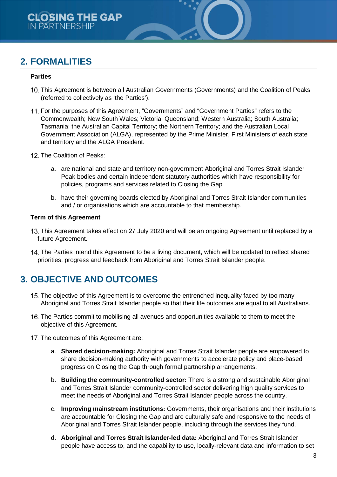# **2. FORMALITIES**

#### **Parties**

- 10. This Agreement is between all Australian Governments (Governments) and the Coalition of Peaks (referred to collectively as 'the Parties').
- 11. For the purposes of this Agreement, "Governments" and "Government Parties" refers to the Commonwealth; New South Wales; Victoria; Queensland; Western Australia; South Australia; Tasmania; the Australian Capital Territory; the Northern Territory; and the Australian Local Government Association (ALGA), represented by the Prime Minister, First Ministers of each state and territory and the ALGA President.
- 12. The Coalition of Peaks:
	- a. are national and state and territory non-government Aboriginal and Torres Strait Islander Peak bodies and certain independent statutory authorities which have responsibility for policies, programs and services related to Closing the Gap
	- b. have their governing boards elected by Aboriginal and Torres Strait Islander communities and / or organisations which are accountable to that membership.

#### **Term of this Agreement**

- This Agreement takes effect on 27 July 2020 and will be an ongoing Agreement until replaced by a future Agreement.
- The Parties intend this Agreement to be a living document, which will be updated to reflect shared priorities, progress and feedback from Aboriginal and Torres Strait Islander people.

# **3. OBJECTIVE AND OUTCOMES**

- The objective of this Agreement is to overcome the entrenched inequality faced by too many Aboriginal and Torres Strait Islander people so that their life outcomes are equal to all Australians.
- 16. The Parties commit to mobilising all avenues and opportunities available to them to meet the objective of this Agreement.
- 17. The outcomes of this Agreement are:
	- a. **Shared decision-making:** Aboriginal and Torres Strait Islander people are empowered to share decision-making authority with governments to accelerate policy and place-based progress on Closing the Gap through formal partnership arrangements.
	- b. **Building the community-controlled sector:** There is a strong and sustainable Aboriginal and Torres Strait Islander community-controlled sector delivering high quality services to meet the needs of Aboriginal and Torres Strait Islander people across the country.
	- c. **Improving mainstream institutions:** Governments, their organisations and their institutions are accountable for Closing the Gap and are culturally safe and responsive to the needs of Aboriginal and Torres Strait Islander people, including through the services they fund.
	- d. **Aboriginal and Torres Strait Islander-led data:** Aboriginal and Torres Strait Islander people have access to, and the capability to use, locally-relevant data and information to set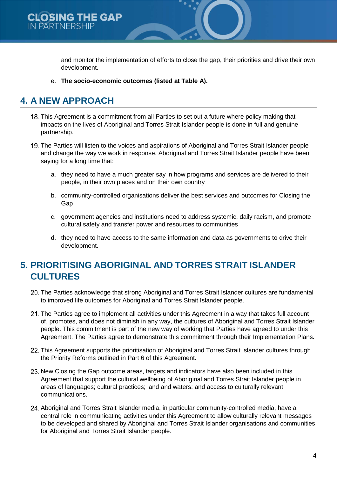

and monitor the implementation of efforts to close the gap, their priorities and drive their own development.

e. **The socio-economic outcomes (listed at Table A).**

# **4. A NEW APPROACH**

- This Agreement is a commitment from all Parties to set out a future where policy making that impacts on the lives of Aboriginal and Torres Strait Islander people is done in full and genuine partnership.
- 19. The Parties will listen to the voices and aspirations of Aboriginal and Torres Strait Islander people and change the way we work in response. Aboriginal and Torres Strait Islander people have been saying for a long time that:
	- a. they need to have a much greater say in how programs and services are delivered to their people, in their own places and on their own country
	- b. community-controlled organisations deliver the best services and outcomes for Closing the Gap
	- c. government agencies and institutions need to address systemic, daily racism, and promote cultural safety and transfer power and resources to communities
	- d. they need to have access to the same information and data as governments to drive their development.

# **5. PRIORITISING ABORIGINAL AND TORRES STRAIT ISLANDER CULTURES**

- The Parties acknowledge that strong Aboriginal and Torres Strait Islander cultures are fundamental to improved life outcomes for Aboriginal and Torres Strait Islander people.
- 21. The Parties agree to implement all activities under this Agreement in a way that takes full account of, promotes, and does not diminish in any way, the cultures of Aboriginal and Torres Strait Islander people. This commitment is part of the new way of working that Parties have agreed to under this Agreement. The Parties agree to demonstrate this commitment through their Implementation Plans.
- 22. This Agreement supports the prioritisation of Aboriginal and Torres Strait Islander cultures through the Priority Reforms outlined in Part 6 of this Agreement.
- 23. New Closing the Gap outcome areas, targets and indicators have also been included in this Agreement that support the cultural wellbeing of Aboriginal and Torres Strait Islander people in areas of languages; cultural practices; land and waters; and access to culturally relevant communications.
- Aboriginal and Torres Strait Islander media, in particular community-controlled media, have a central role in communicating activities under this Agreement to allow culturally relevant messages to be developed and shared by Aboriginal and Torres Strait Islander organisations and communities for Aboriginal and Torres Strait Islander people.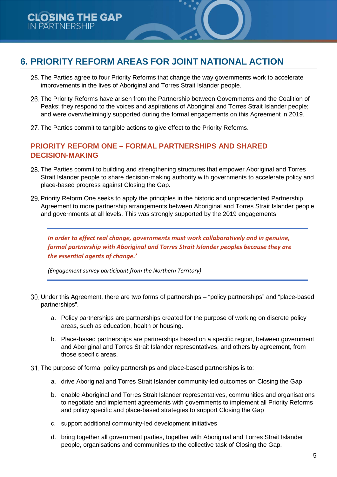# **6. PRIORITY REFORM AREAS FOR JOINT NATIONAL ACTION**

- 25. The Parties agree to four Priority Reforms that change the way governments work to accelerate improvements in the lives of Aboriginal and Torres Strait Islander people.
- 26. The Priority Reforms have arisen from the Partnership between Governments and the Coalition of Peaks; they respond to the voices and aspirations of Aboriginal and Torres Strait Islander people; and were overwhelmingly supported during the formal engagements on this Agreement in 2019.
- 27. The Parties commit to tangible actions to give effect to the Priority Reforms.

### **PRIORITY REFORM ONE – FORMAL PARTNERSHIPS AND SHARED DECISION-MAKING**

- The Parties commit to building and strengthening structures that empower Aboriginal and Torres Strait Islander people to share decision-making authority with governments to accelerate policy and place-based progress against Closing the Gap.
- Priority Reform One seeks to apply the principles in the historic and unprecedented Partnership Agreement to more partnership arrangements between Aboriginal and Torres Strait Islander people and governments at all levels. This was strongly supported by the 2019 engagements.

*In order to effect real change, governments must work collaboratively and in genuine, formal partnership with Aboriginal and Torres Strait Islander peoples because they are the essential agents of change.'*

*(Engagement survey participant from the Northern Territory)*

- Under this Agreement, there are two forms of partnerships "policy partnerships" and "place-based partnerships".
	- a. Policy partnerships are partnerships created for the purpose of working on discrete policy areas, such as education, health or housing.
	- b. Place-based partnerships are partnerships based on a specific region, between government and Aboriginal and Torres Strait Islander representatives, and others by agreement, from those specific areas.
- 31. The purpose of formal policy partnerships and place-based partnerships is to:
	- a. drive Aboriginal and Torres Strait Islander community-led outcomes on Closing the Gap
	- b. enable Aboriginal and Torres Strait Islander representatives, communities and organisations to negotiate and implement agreements with governments to implement all Priority Reforms and policy specific and place-based strategies to support Closing the Gap
	- c. support additional community-led development initiatives
	- d. bring together all government parties, together with Aboriginal and Torres Strait Islander people, organisations and communities to the collective task of Closing the Gap.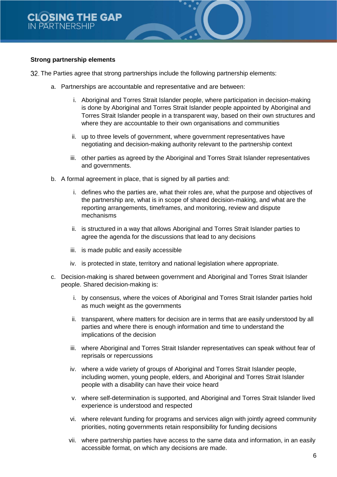#### **Strong partnership elements**

32. The Parties agree that strong partnerships include the following partnership elements:

- a. Partnerships are accountable and representative and are between:
	- i. Aboriginal and Torres Strait Islander people, where participation in decision-making is done by Aboriginal and Torres Strait Islander people appointed by Aboriginal and Torres Strait Islander people in a transparent way, based on their own structures and where they are accountable to their own organisations and communities
	- ii. up to three levels of government, where government representatives have negotiating and decision-making authority relevant to the partnership context
	- iii. other parties as agreed by the Aboriginal and Torres Strait Islander representatives and governments.
- b. A formal agreement in place, that is signed by all parties and:
	- i. defines who the parties are, what their roles are, what the purpose and objectives of the partnership are, what is in scope of shared decision-making, and what are the reporting arrangements, timeframes, and monitoring, review and dispute mechanisms
	- ii. is structured in a way that allows Aboriginal and Torres Strait Islander parties to agree the agenda for the discussions that lead to any decisions
	- iii. is made public and easily accessible
	- iv. is protected in state, territory and national legislation where appropriate.
- c. Decision-making is shared between government and Aboriginal and Torres Strait Islander people. Shared decision-making is:
	- i. by consensus, where the voices of Aboriginal and Torres Strait Islander parties hold as much weight as the governments
	- ii. transparent, where matters for decision are in terms that are easily understood by all parties and where there is enough information and time to understand the implications of the decision
	- iii. where Aboriginal and Torres Strait Islander representatives can speak without fear of reprisals or repercussions
	- iv. where a wide variety of groups of Aboriginal and Torres Strait Islander people, including women, young people, elders, and Aboriginal and Torres Strait Islander people with a disability can have their voice heard
	- v. where self-determination is supported, and Aboriginal and Torres Strait Islander lived experience is understood and respected
	- vi. where relevant funding for programs and services align with jointly agreed community priorities, noting governments retain responsibility for funding decisions
	- vii. where partnership parties have access to the same data and information, in an easily accessible format, on which any decisions are made.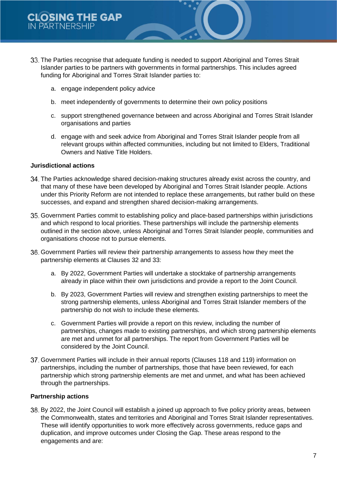- The Parties recognise that adequate funding is needed to support Aboriginal and Torres Strait Islander parties to be partners with governments in formal partnerships. This includes agreed funding for Aboriginal and Torres Strait Islander parties to:
	- a. engage independent policy advice
	- b. meet independently of governments to determine their own policy positions
	- c. support strengthened governance between and across Aboriginal and Torres Strait Islander organisations and parties
	- d. engage with and seek advice from Aboriginal and Torres Strait Islander people from all relevant groups within affected communities, including but not limited to Elders, Traditional Owners and Native Title Holders.

#### **Jurisdictional actions**

- The Parties acknowledge shared decision-making structures already exist across the country, and that many of these have been developed by Aboriginal and Torres Strait Islander people. Actions under this Priority Reform are not intended to replace these arrangements, but rather build on these successes, and expand and strengthen shared decision-making arrangements.
- Government Parties commit to establishing policy and place-based partnerships within jurisdictions and which respond to local priorities. These partnerships will include the partnership elements outlined in the section above, unless Aboriginal and Torres Strait Islander people, communities and organisations choose not to pursue elements.
- Government Parties will review their partnership arrangements to assess how they meet the partnership elements at Clauses 32 and 33:
	- a. By 2022, Government Parties will undertake a stocktake of partnership arrangements already in place within their own jurisdictions and provide a report to the Joint Council.
	- b. By 2023, Government Parties will review and strengthen existing partnerships to meet the strong partnership elements, unless Aboriginal and Torres Strait Islander members of the partnership do not wish to include these elements.
	- c. Government Parties will provide a report on this review, including the number of partnerships, changes made to existing partnerships, and which strong partnership elements are met and unmet for all partnerships. The report from Government Parties will be considered by the Joint Council.
- Government Parties will include in their annual reports (Clauses 118 and 119) information on partnerships, including the number of partnerships, those that have been reviewed, for each partnership which strong partnership elements are met and unmet, and what has been achieved through the partnerships.

#### **Partnership actions**

By 2022, the Joint Council will establish a joined up approach to five policy priority areas, between the Commonwealth, states and territories and Aboriginal and Torres Strait Islander representatives. These will identify opportunities to work more effectively across governments, reduce gaps and duplication, and improve outcomes under Closing the Gap. These areas respond to the engagements and are: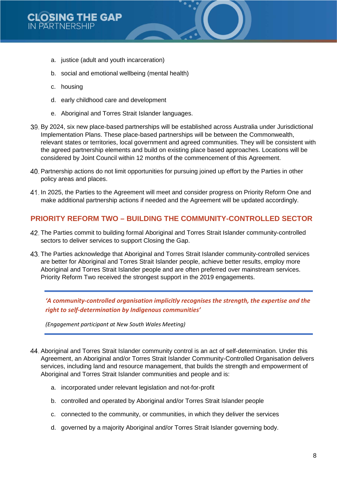- a. justice (adult and youth incarceration)
- b. social and emotional wellbeing (mental health)
- c. housing
- d. early childhood care and development
- e. Aboriginal and Torres Strait Islander languages.
- By 2024, six new place-based partnerships will be established across Australia under Jurisdictional Implementation Plans. These place-based partnerships will be between the Commonwealth, relevant states or territories, local government and agreed communities. They will be consistent with the agreed partnership elements and build on existing place based approaches. Locations will be considered by Joint Council within 12 months of the commencement of this Agreement.
- Partnership actions do not limit opportunities for pursuing joined up effort by the Parties in other policy areas and places.
- In 2025, the Parties to the Agreement will meet and consider progress on Priority Reform One and make additional partnership actions if needed and the Agreement will be updated accordingly.

### **PRIORITY REFORM TWO – BUILDING THE COMMUNITY-CONTROLLED SECTOR**

- The Parties commit to building formal Aboriginal and Torres Strait Islander community-controlled sectors to deliver services to support Closing the Gap.
- The Parties acknowledge that Aboriginal and Torres Strait Islander community-controlled services are better for Aboriginal and Torres Strait Islander people, achieve better results, employ more Aboriginal and Torres Strait Islander people and are often preferred over mainstream services. Priority Reform Two received the strongest support in the 2019 engagements.

*'A community-controlled organisation implicitly recognises the strength, the expertise and the right to self-determination by Indigenous communities'*

*(Engagement participant at New South Wales Meeting)*

- Aboriginal and Torres Strait Islander community control is an act of self-determination. Under this Agreement, an Aboriginal and/or Torres Strait Islander Community-Controlled Organisation delivers services, including land and resource management, that builds the strength and empowerment of Aboriginal and Torres Strait Islander communities and people and is:
	- a. incorporated under relevant legislation and not-for-profit
	- b. controlled and operated by Aboriginal and/or Torres Strait Islander people
	- c. connected to the community, or communities, in which they deliver the services
	- d. governed by a majority Aboriginal and/or Torres Strait Islander governing body.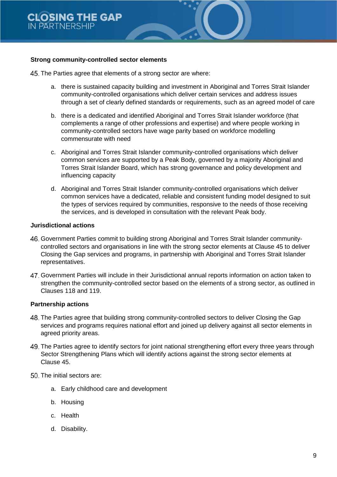#### **Strong community-controlled sector elements**

- 45. The Parties agree that elements of a strong sector are where:
	- a. there is sustained capacity building and investment in Aboriginal and Torres Strait Islander community-controlled organisations which deliver certain services and address issues through a set of clearly defined standards or requirements, such as an agreed model of care
	- b. there is a dedicated and identified Aboriginal and Torres Strait Islander workforce (that complements a range of other professions and expertise) and where people working in community-controlled sectors have wage parity based on workforce modelling commensurate with need
	- c. Aboriginal and Torres Strait Islander community-controlled organisations which deliver common services are supported by a Peak Body, governed by a majority Aboriginal and Torres Strait Islander Board, which has strong governance and policy development and influencing capacity
	- d. Aboriginal and Torres Strait Islander community-controlled organisations which deliver common services have a dedicated, reliable and consistent funding model designed to suit the types of services required by communities, responsive to the needs of those receiving the services, and is developed in consultation with the relevant Peak body.

#### **Jurisdictional actions**

- Government Parties commit to building strong Aboriginal and Torres Strait Islander communitycontrolled sectors and organisations in line with the strong sector elements at Clause 45 to deliver Closing the Gap services and programs, in partnership with Aboriginal and Torres Strait Islander representatives.
- Government Parties will include in their Jurisdictional annual reports information on action taken to strengthen the community-controlled sector based on the elements of a strong sector, as outlined in Clauses 118 and 119.

#### **Partnership actions**

- The Parties agree that building strong community-controlled sectors to deliver Closing the Gap services and programs requires national effort and joined up delivery against all sector elements in agreed priority areas.
- The Parties agree to identify sectors for joint national strengthening effort every three years through Sector Strengthening Plans which will identify actions against the strong sector elements at Clause 45.
- 50. The initial sectors are:
	- a. Early childhood care and development
	- b. Housing
	- c. Health
	- d. Disability.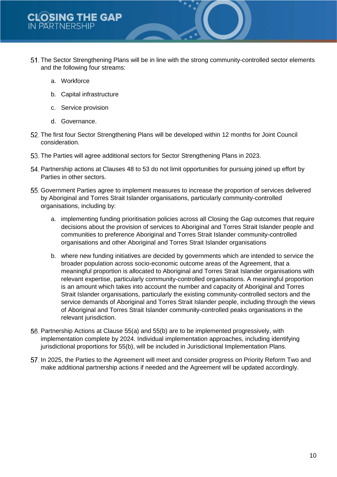- The Sector Strengthening Plans will be in line with the strong community-controlled sector elements and the following four streams:
	- a. Workforce
	- b. Capital infrastructure
	- c. Service provision
	- d. Governance.
- The first four Sector Strengthening Plans will be developed within 12 months for Joint Council consideration.
- 53. The Parties will agree additional sectors for Sector Strengthening Plans in 2023.
- Partnership actions at Clauses 48 to 53 do not limit opportunities for pursuing joined up effort by Parties in other sectors.
- Government Parties agree to implement measures to increase the proportion of services delivered by Aboriginal and Torres Strait Islander organisations, particularly community-controlled organisations, including by:
	- a. implementing funding prioritisation policies across all Closing the Gap outcomes that require decisions about the provision of services to Aboriginal and Torres Strait Islander people and communities to preference Aboriginal and Torres Strait Islander community-controlled organisations and other Aboriginal and Torres Strait Islander organisations
	- b. where new funding initiatives are decided by governments which are intended to service the broader population across socio-economic outcome areas of the Agreement, that a meaningful proportion is allocated to Aboriginal and Torres Strait Islander organisations with relevant expertise, particularly community-controlled organisations. A meaningful proportion is an amount which takes into account the number and capacity of Aboriginal and Torres Strait Islander organisations, particularly the existing community-controlled sectors and the service demands of Aboriginal and Torres Strait Islander people, including through the views of Aboriginal and Torres Strait Islander community-controlled peaks organisations in the relevant jurisdiction.
- 56. Partnership Actions at Clause 55(a) and 55(b) are to be implemented progressively, with implementation complete by 2024. Individual implementation approaches, including identifying jurisdictional proportions for 55(b), will be included in Jurisdictional Implementation Plans.
- 57. In 2025, the Parties to the Agreement will meet and consider progress on Priority Reform Two and make additional partnership actions if needed and the Agreement will be updated accordingly.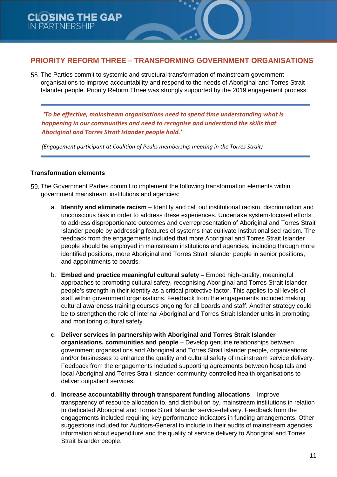### **PRIORITY REFORM THREE – TRANSFORMING GOVERNMENT ORGANISATIONS**

The Parties commit to systemic and structural transformation of mainstream government organisations to improve accountability and respond to the needs of Aboriginal and Torres Strait Islander people. Priority Reform Three was strongly supported by the 2019 engagement process.

*'To be effective, mainstream organisations need to spend time understanding what is happening in our communities and need to recognise and understand the skills that Aboriginal and Torres Strait Islander people hold.'*

*(Engagement participant at Coalition of Peaks membership meeting in the Torres Strait)*

#### **Transformation elements**

- 59. The Government Parties commit to implement the following transformation elements within government mainstream institutions and agencies:
	- a. **Identify and eliminate racism** Identify and call out institutional racism, discrimination and unconscious bias in order to address these experiences. Undertake system-focused efforts to address disproportionate outcomes and overrepresentation of Aboriginal and Torres Strait Islander people by addressing features of systems that cultivate institutionalised racism. The feedback from the engagements included that more Aboriginal and Torres Strait Islander people should be employed in mainstream institutions and agencies, including through more identified positions, more Aboriginal and Torres Strait Islander people in senior positions, and appointments to boards.
	- b. **Embed and practice meaningful cultural safety** Embed high-quality, meaningful approaches to promoting cultural safety, recognising Aboriginal and Torres Strait Islander people's strength in their identity as a critical protective factor. This applies to all levels of staff within government organisations. Feedback from the engagements included making cultural awareness training courses ongoing for all boards and staff. Another strategy could be to strengthen the role of internal Aboriginal and Torres Strait Islander units in promoting and monitoring cultural safety.
	- c. **Deliver services in partnership with Aboriginal and Torres Strait Islander organisations, communities and people** – Develop genuine relationships between government organisations and Aboriginal and Torres Strait Islander people, organisations and/or businesses to enhance the quality and cultural safety of mainstream service delivery. Feedback from the engagements included supporting agreements between hospitals and local Aboriginal and Torres Strait Islander community-controlled health organisations to deliver outpatient services.
	- d. **Increase accountability through transparent funding allocations**  Improve transparency of resource allocation to, and distribution by, mainstream institutions in relation to dedicated Aboriginal and Torres Strait Islander service-delivery. Feedback from the engagements included requiring key performance indicators in funding arrangements. Other suggestions included for Auditors-General to include in their audits of mainstream agencies information about expenditure and the quality of service delivery to Aboriginal and Torres Strait Islander people.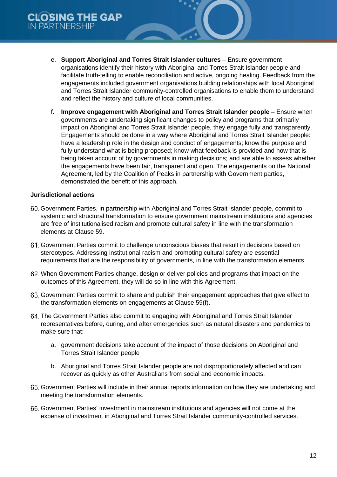- e. **Support Aboriginal and Torres Strait Islander cultures**  Ensure government organisations identify their history with Aboriginal and Torres Strait Islander people and facilitate truth-telling to enable reconciliation and active, ongoing healing. Feedback from the engagements included government organisations building relationships with local Aboriginal and Torres Strait Islander community-controlled organisations to enable them to understand and reflect the history and culture of local communities.
- f. **Improve engagement with Aboriginal and Torres Strait Islander people**  Ensure when governments are undertaking significant changes to policy and programs that primarily impact on Aboriginal and Torres Strait Islander people, they engage fully and transparently. Engagements should be done in a way where Aboriginal and Torres Strait Islander people: have a leadership role in the design and conduct of engagements; know the purpose and fully understand what is being proposed; know what feedback is provided and how that is being taken account of by governments in making decisions; and are able to assess whether the engagements have been fair, transparent and open. The engagements on the National Agreement, led by the Coalition of Peaks in partnership with Government parties, demonstrated the benefit of this approach.

#### **Jurisdictional actions**

- Government Parties, in partnership with Aboriginal and Torres Strait Islander people, commit to systemic and structural transformation to ensure government mainstream institutions and agencies are free of institutionalised racism and promote cultural safety in line with the transformation elements at Clause 59.
- Government Parties commit to challenge unconscious biases that result in decisions based on stereotypes. Addressing institutional racism and promoting cultural safety are essential requirements that are the responsibility of governments, in line with the transformation elements.
- When Government Parties change, design or deliver policies and programs that impact on the outcomes of this Agreement, they will do so in line with this Agreement.
- Government Parties commit to share and publish their engagement approaches that give effect to the transformation elements on engagements at Clause 59(f).
- The Government Parties also commit to engaging with Aboriginal and Torres Strait Islander representatives before, during, and after emergencies such as natural disasters and pandemics to make sure that:
	- a. government decisions take account of the impact of those decisions on Aboriginal and Torres Strait Islander people
	- b. Aboriginal and Torres Strait Islander people are not disproportionately affected and can recover as quickly as other Australians from social and economic impacts.
- Government Parties will include in their annual reports information on how they are undertaking and meeting the transformation elements.
- Government Parties' investment in mainstream institutions and agencies will not come at the expense of investment in Aboriginal and Torres Strait Islander community-controlled services.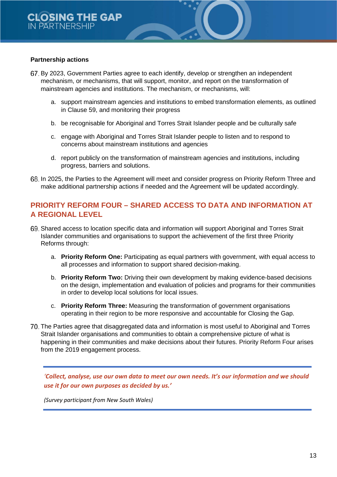#### **Partnership actions**

- By 2023, Government Parties agree to each identify, develop or strengthen an independent mechanism, or mechanisms, that will support, monitor, and report on the transformation of mainstream agencies and institutions. The mechanism, or mechanisms, will:
	- a. support mainstream agencies and institutions to embed transformation elements, as outlined in Clause 59, and monitoring their progress
	- b. be recognisable for Aboriginal and Torres Strait Islander people and be culturally safe
	- c. engage with Aboriginal and Torres Strait Islander people to listen and to respond to concerns about mainstream institutions and agencies
	- d. report publicly on the transformation of mainstream agencies and institutions, including progress, barriers and solutions.
- 68. In 2025, the Parties to the Agreement will meet and consider progress on Priority Reform Three and make additional partnership actions if needed and the Agreement will be updated accordingly.

## **PRIORITY REFORM FOUR – SHARED ACCESS TO DATA AND INFORMATION AT A REGIONAL LEVEL**

- Shared access to location specific data and information will support Aboriginal and Torres Strait Islander communities and organisations to support the achievement of the first three Priority Reforms through:
	- a. **Priority Reform One:** Participating as equal partners with government, with equal access to all processes and information to support shared decision-making.
	- b. **Priority Reform Two:** Driving their own development by making evidence-based decisions on the design, implementation and evaluation of policies and programs for their communities in order to develop local solutions for local issues.
	- c. **Priority Reform Three:** Measuring the transformation of government organisations operating in their region to be more responsive and accountable for Closing the Gap.
- The Parties agree that disaggregated data and information is most useful to Aboriginal and Torres Strait Islander organisations and communities to obtain a comprehensive picture of what is happening in their communities and make decisions about their futures. Priority Reform Four arises from the 2019 engagement process.

*'Collect, analyse, use our own data to meet our own needs. It's our information and we should use it for our own purposes as decided by us.'*

*(Survey participant from New South Wales)*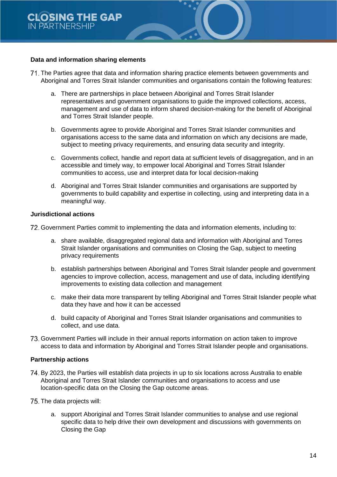#### **Data and information sharing elements**

- The Parties agree that data and information sharing practice elements between governments and Aboriginal and Torres Strait Islander communities and organisations contain the following features:
	- a. There are partnerships in place between Aboriginal and Torres Strait Islander representatives and government organisations to guide the improved collections, access, management and use of data to inform shared decision-making for the benefit of Aboriginal and Torres Strait Islander people.
	- b. Governments agree to provide Aboriginal and Torres Strait Islander communities and organisations access to the same data and information on which any decisions are made, subject to meeting privacy requirements, and ensuring data security and integrity.
	- c. Governments collect, handle and report data at sufficient levels of disaggregation, and in an accessible and timely way, to empower local Aboriginal and Torres Strait Islander communities to access, use and interpret data for local decision-making
	- d. Aboriginal and Torres Strait Islander communities and organisations are supported by governments to build capability and expertise in collecting, using and interpreting data in a meaningful way.

#### **Jurisdictional actions**

Government Parties commit to implementing the data and information elements, including to:

- a. share available, disaggregated regional data and information with Aboriginal and Torres Strait Islander organisations and communities on Closing the Gap, subject to meeting privacy requirements
- b. establish partnerships between Aboriginal and Torres Strait Islander people and government agencies to improve collection, access, management and use of data, including identifying improvements to existing data collection and management
- c. make their data more transparent by telling Aboriginal and Torres Strait Islander people what data they have and how it can be accessed
- d. build capacity of Aboriginal and Torres Strait Islander organisations and communities to collect, and use data.
- Government Parties will include in their annual reports information on action taken to improve access to data and information by Aboriginal and Torres Strait Islander people and organisations.

### **Partnership actions**

- 74. By 2023, the Parties will establish data projects in up to six locations across Australia to enable Aboriginal and Torres Strait Islander communities and organisations to access and use location-specific data on the Closing the Gap outcome areas.
- 75. The data projects will:
	- a. support Aboriginal and Torres Strait Islander communities to analyse and use regional specific data to help drive their own development and discussions with governments on Closing the Gap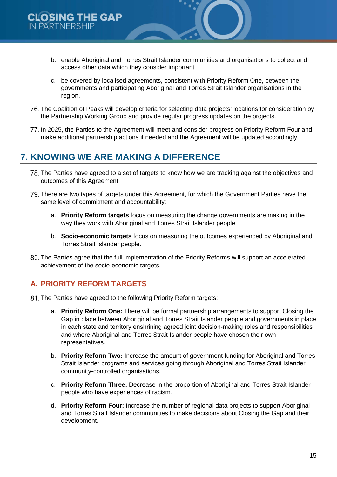- b. enable Aboriginal and Torres Strait Islander communities and organisations to collect and access other data which they consider important
- c. be covered by localised agreements, consistent with Priority Reform One, between the governments and participating Aboriginal and Torres Strait Islander organisations in the region.
- The Coalition of Peaks will develop criteria for selecting data projects' locations for consideration by the Partnership Working Group and provide regular progress updates on the projects.
- 77. In 2025, the Parties to the Agreement will meet and consider progress on Priority Reform Four and make additional partnership actions if needed and the Agreement will be updated accordingly.

# **7. KNOWING WE ARE MAKING A DIFFERENCE**

- The Parties have agreed to a set of targets to know how we are tracking against the objectives and outcomes of this Agreement.
- There are two types of targets under this Agreement, for which the Government Parties have the same level of commitment and accountability:
	- a. **Priority Reform targets** focus on measuring the change governments are making in the way they work with Aboriginal and Torres Strait Islander people.
	- b. **Socio-economic targets** focus on measuring the outcomes experienced by Aboriginal and Torres Strait Islander people.
- The Parties agree that the full implementation of the Priority Reforms will support an accelerated achievement of the socio-economic targets.

# **A. PRIORITY REFORM TARGETS**

- 81. The Parties have agreed to the following Priority Reform targets:
	- a. **Priority Reform One:** There will be formal partnership arrangements to support Closing the Gap in place between Aboriginal and Torres Strait Islander people and governments in place in each state and territory enshrining agreed joint decision-making roles and responsibilities and where Aboriginal and Torres Strait Islander people have chosen their own representatives.
	- b. **Priority Reform Two:** Increase the amount of government funding for Aboriginal and Torres Strait Islander programs and services going through Aboriginal and Torres Strait Islander community-controlled organisations.
	- c. **Priority Reform Three:** Decrease in the proportion of Aboriginal and Torres Strait Islander people who have experiences of racism.
	- d. **Priority Reform Four:** Increase the number of regional data projects to support Aboriginal and Torres Strait Islander communities to make decisions about Closing the Gap and their development.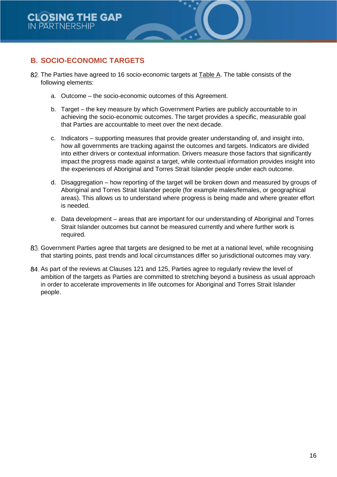# **B. SOCIO-ECONOMIC TARGETS**

- 82. The Parties have agreed to 16 socio-economic targets at Table A. The table consists of the following elements:
	- a. Outcome the socio-economic outcomes of this Agreement.
	- b. Target the key measure by which Government Parties are publicly accountable to in achieving the socio-economic outcomes. The target provides a specific, measurable goal that Parties are accountable to meet over the next decade.
	- c. Indicators supporting measures that provide greater understanding of, and insight into, how all governments are tracking against the outcomes and targets. Indicators are divided into either drivers or contextual information. Drivers measure those factors that significantly impact the progress made against a target, while contextual information provides insight into the experiences of Aboriginal and Torres Strait Islander people under each outcome.
	- d. Disaggregation how reporting of the target will be broken down and measured by groups of Aboriginal and Torres Strait Islander people (for example males/females, or geographical areas). This allows us to understand where progress is being made and where greater effort is needed.
	- e. Data development areas that are important for our understanding of Aboriginal and Torres Strait Islander outcomes but cannot be measured currently and where further work is required.
- Government Parties agree that targets are designed to be met at a national level, while recognising that starting points, past trends and local circumstances differ so jurisdictional outcomes may vary.
- As part of the reviews at Clauses 121 and 125, Parties agree to regularly review the level of ambition of the targets as Parties are committed to stretching beyond a business as usual approach in order to accelerate improvements in life outcomes for Aboriginal and Torres Strait Islander people.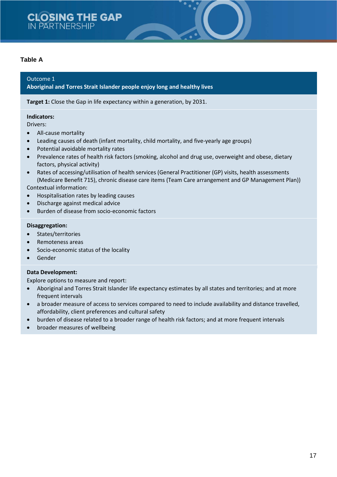# **CLOSING THE GAP** IN PARTNERSHIP

#### **Table A**

#### Outcome 1

#### **Aboriginal and Torres Strait Islander people enjoy long and healthy lives**

**Target 1:** Close the Gap in life expectancy within a generation, by 2031.

#### **Indicators:**

Drivers:

- All-cause mortality
- Leading causes of death (infant mortality, child mortality, and five-yearly age groups)
- Potential avoidable mortality rates
- Prevalence rates of health risk factors (smoking, alcohol and drug use, overweight and obese, dietary factors, physical activity)
- Rates of accessing/utilisation of health services (General Practitioner (GP) visits, health assessments (Medicare Benefit 715), chronic disease care items (Team Care arrangement and GP Management Plan))

Contextual information:

- Hospitalisation rates by leading causes
- Discharge against medical advice
- Burden of disease from socio-economic factors

#### **Disaggregation:**

- States/territories
- Remoteness areas
- Socio-economic status of the locality
- Gender

#### **Data Development:**

- Aboriginal and Torres Strait Islander life expectancy estimates by all states and territories; and at more frequent intervals
- a broader measure of access to services compared to need to include availability and distance travelled, affordability, client preferences and cultural safety
- burden of disease related to a broader range of health risk factors; and at more frequent intervals
- broader measures of wellbeing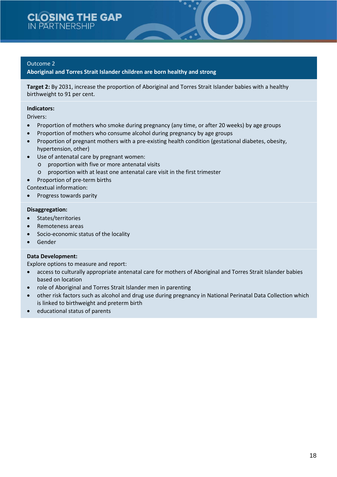**Aboriginal and Torres Strait Islander children are born healthy and strong**

**Target 2:** By 2031, increase the proportion of Aboriginal and Torres Strait Islander babies with a healthy birthweight to 91 per cent.

#### **Indicators:**

Drivers:

- Proportion of mothers who smoke during pregnancy (any time, or after 20 weeks) by age groups
- Proportion of mothers who consume alcohol during pregnancy by age groups
- Proportion of pregnant mothers with a pre-existing health condition (gestational diabetes, obesity, hypertension, other)
- Use of antenatal care by pregnant women:
	- o proportion with five or more antenatal visits
	- o proportion with at least one antenatal care visit in the first trimester
	- Proportion of pre-term births
- Contextual information:
- Progress towards parity

#### **Disaggregation:**

- States/territories
- Remoteness areas
- Socio-economic status of the locality
- Gender

#### **Data Development:**

- access to culturally appropriate antenatal care for mothers of Aboriginal and Torres Strait Islander babies based on location
- role of Aboriginal and Torres Strait Islander men in parenting
- other risk factors such as alcohol and drug use during pregnancy in National Perinatal Data Collection which is linked to birthweight and preterm birth
- educational status of parents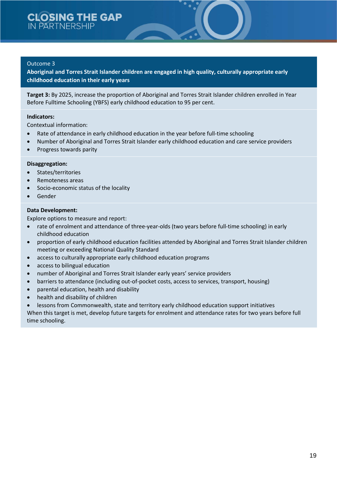**Aboriginal and Torres Strait Islander children are engaged in high quality, culturally appropriate early childhood education in their early years**

**Target 3:** By 2025, increase the proportion of Aboriginal and Torres Strait Islander children enrolled in Year Before Fulltime Schooling (YBFS) early childhood education to 95 per cent.

#### **Indicators:**

Contextual information:

- Rate of attendance in early childhood education in the year before full-time schooling
- Number of Aboriginal and Torres Strait Islander early childhood education and care service providers
- Progress towards parity

#### **Disaggregation:**

- States/territories
- Remoteness areas
- Socio-economic status of the locality
- Gender

#### **Data Development:**

Explore options to measure and report:

- rate of enrolment and attendance of three-year-olds (two years before full-time schooling) in early childhood education
- proportion of early childhood education facilities attended by Aboriginal and Torres Strait Islander children meeting or exceeding National Quality Standard
- access to culturally appropriate early childhood education programs
- access to bilingual education
- number of Aboriginal and Torres Strait Islander early years' service providers
- barriers to attendance (including out-of-pocket costs, access to services, transport, housing)
- parental education, health and disability
- health and disability of children
- lessons from Commonwealth, state and territory early childhood education support initiatives

When this target is met, develop future targets for enrolment and attendance rates for two years before full time schooling.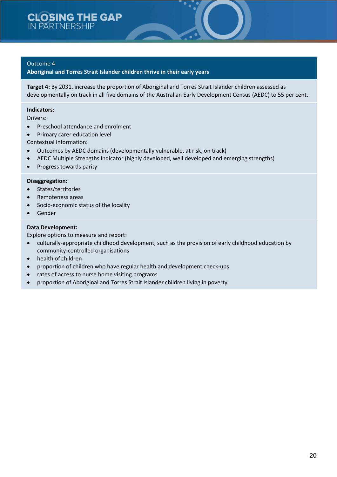**Aboriginal and Torres Strait Islander children thrive in their early years**

**Target 4:** By 2031, increase the proportion of Aboriginal and Torres Strait Islander children assessed as developmentally on track in all five domains of the Australian Early Development Census (AEDC) to 55 per cent.

#### **Indicators:**

Drivers:

- Preschool attendance and enrolment
- Primary carer education level

Contextual information:

- Outcomes by AEDC domains (developmentally vulnerable, at risk, on track)
- AEDC Multiple Strengths Indicator (highly developed, well developed and emerging strengths)
- Progress towards parity

#### **Disaggregation:**

- States/territories
- Remoteness areas
- Socio-economic status of the locality
- Gender

#### **Data Development:**

- culturally-appropriate childhood development, such as the provision of early childhood education by community-controlled organisations
- health of children
- proportion of children who have regular health and development check-ups
- rates of access to nurse home visiting programs
- proportion of Aboriginal and Torres Strait Islander children living in poverty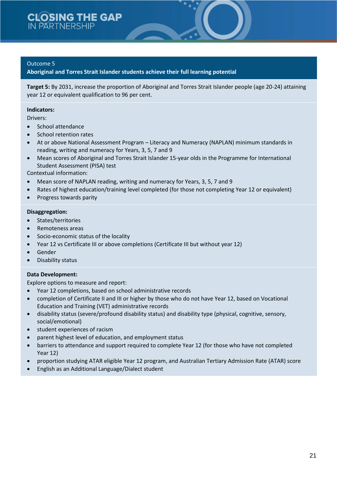**Aboriginal and Torres Strait Islander students achieve their full learning potential**

**Target 5:** By 2031, increase the proportion of Aboriginal and Torres Strait Islander people (age 20-24) attaining year 12 or equivalent qualification to 96 per cent.

#### **Indicators:**

Drivers:

- School attendance
- School retention rates
- At or above National Assessment Program Literacy and Numeracy (NAPLAN) minimum standards in reading, writing and numeracy for Years, 3, 5, 7 and 9
- Mean scores of Aboriginal and Torres Strait Islander 15-year olds in the Programme for International Student Assessment (PISA) test

Contextual information:

- Mean score of NAPLAN reading, writing and numeracy for Years, 3, 5, 7 and 9
- Rates of highest education/training level completed (for those not completing Year 12 or equivalent)
- Progress towards parity

#### **Disaggregation:**

- States/territories
- Remoteness areas
- Socio-economic status of the locality
- Year 12 vs Certificate III or above completions (Certificate III but without year 12)
- **Gender**
- Disability status

#### **Data Development:**

- Year 12 completions, based on school administrative records
- completion of Certificate II and III or higher by those who do not have Year 12, based on Vocational Education and Training (VET) administrative records
- disability status (severe/profound disability status) and disability type (physical, cognitive, sensory, social/emotional)
- student experiences of racism
- parent highest level of education, and employment status
- barriers to attendance and support required to complete Year 12 (for those who have not completed Year 12)
- proportion studying ATAR eligible Year 12 program, and Australian Tertiary Admission Rate (ATAR) score
- English as an Additional Language/Dialect student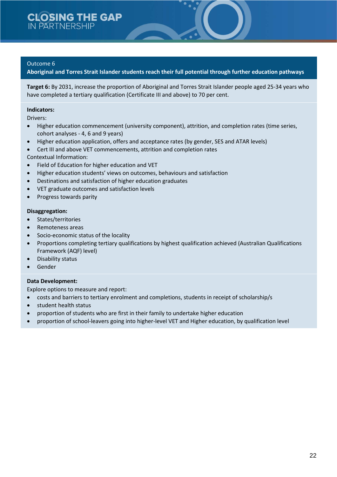**Aboriginal and Torres Strait Islander students reach their full potential through further education pathways**

**Target 6:** By 2031, increase the proportion of Aboriginal and Torres Strait Islander people aged 25-34 years who have completed a tertiary qualification (Certificate III and above) to 70 per cent.

#### **Indicators:**

Drivers:

- Higher education commencement (university component), attrition, and completion rates (time series, cohort analyses - 4, 6 and 9 years)
- Higher education application, offers and acceptance rates (by gender, SES and ATAR levels)
- Cert III and above VET commencements, attrition and completion rates
- Contextual Information:
- Field of Education for higher education and VET
- Higher education students' views on outcomes, behaviours and satisfaction
- Destinations and satisfaction of higher education graduates
- VET graduate outcomes and satisfaction levels
- Progress towards parity

#### **Disaggregation:**

- States/territories
- Remoteness areas
- Socio-economic status of the locality
- Proportions completing tertiary qualifications by highest qualification achieved (Australian Qualifications Framework (AQF) level)
- Disability status
- **Gender**

#### **Data Development:**

- costs and barriers to tertiary enrolment and completions, students in receipt of scholarship/s
- student health status
- proportion of students who are first in their family to undertake higher education
- proportion of school-leavers going into higher-level VET and Higher education, by qualification level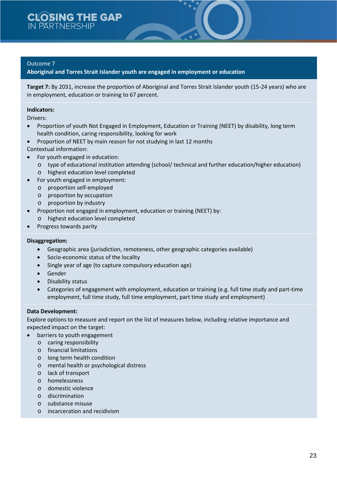**Aboriginal and Torres Strait Islander youth are engaged in employment or education**

**Target 7:** By 2031, increase the proportion of Aboriginal and Torres Strait Islander youth (15-24 years) who are in employment, education or training to 67 percent.

#### **Indicators:**

Drivers:

- Proportion of youth Not Engaged in Employment, Education or Training (NEET) by disability, long term health condition, caring responsibility, looking for work
- Proportion of NEET by main reason for not studying in last 12 months
- Contextual information:
- For youth engaged in education:
	- o type of educational institution attending (school/ technical and further education/higher education)
	- o highest education level completed
- For youth engaged in employment:
	- o proportion self-employed
	- o proportion by occupation
	- o proportion by industry
- Proportion not engaged in employment, education or training (NEET) by:
	- o highest education level completed
- Progress towards parity

#### **Disaggregation:**

- Geographic area (jurisdiction, remoteness, other geographic categories available)
- Socio-economic status of the locality
- Single year of age (to capture compulsory education age)
- Gender
- Disability status
- Categories of engagement with employment, education or training (e.g. full time study and part-time employment, full time study, full time employment, part time study and employment)

#### **Data Development:**

Explore options to measure and report on the list of measures below, including relative importance and expected impact on the target:

- barriers to youth engagement
	- o caring responsibility
	- o financial limitations
	- o long term health condition
	- o mental health or psychological distress
	- o lack of transport
	- o homelessness
	- o domestic violence
	- o discrimination
	- o substance misuse
	- o incarceration and recidivism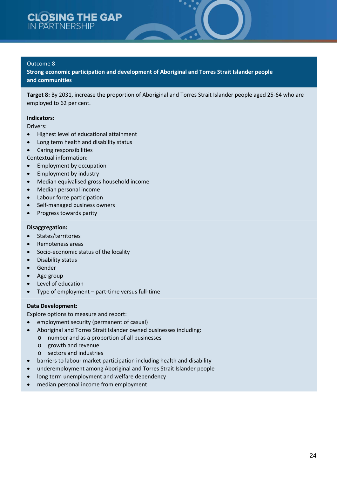**Strong economic participation and development of Aboriginal and Torres Strait Islander people and communities**

**Target 8:** By 2031, increase the proportion of Aboriginal and Torres Strait Islander people aged 25-64 who are employed to 62 per cent.

#### **Indicators:**

Drivers:

- Highest level of educational attainment
- Long term health and disability status
- Caring responsibilities
- Contextual information:
- Employment by occupation
- Employment by industry
- Median equivalised gross household income
- Median personal income
- Labour force participation
- Self-managed business owners
- Progress towards parity

#### **Disaggregation:**

- States/territories
- Remoteness areas
- Socio-economic status of the locality
- Disability status
- Gender
- Age group
- Level of education
- Type of employment part-time versus full-time

#### **Data Development:**

- employment security (permanent of casual)
- Aboriginal and Torres Strait Islander owned businesses including:
	- o number and as a proportion of all businesses
	- o growth and revenue
	- o sectors and industries
- barriers to labour market participation including health and disability
- underemployment among Aboriginal and Torres Strait Islander people
- long term unemployment and welfare dependency
- median personal income from employment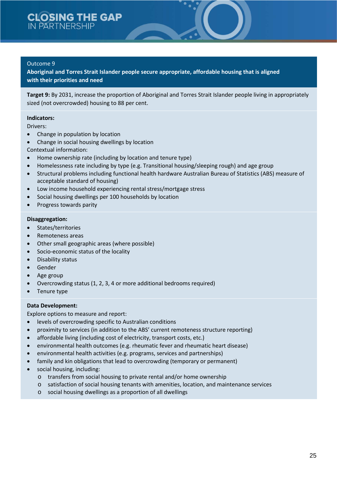**Aboriginal and Torres Strait Islander people secure appropriate, affordable housing that is aligned with their priorities and need**

**Target 9:** By 2031, increase the proportion of Aboriginal and Torres Strait Islander people living in appropriately sized (not overcrowded) housing to 88 per cent.

#### **Indicators:**

Drivers:

- Change in population by location
- Change in social housing dwellings by location
- Contextual information:
- Home ownership rate (including by location and tenure type)
- Homelessness rate including by type (e.g. Transitional housing/sleeping rough) and age group
- Structural problems including functional health hardware Australian Bureau of Statistics (ABS) measure of acceptable standard of housing)
- Low income household experiencing rental stress/mortgage stress
- Social housing dwellings per 100 households by location
- Progress towards parity

#### **Disaggregation:**

- States/territories
- Remoteness areas
- Other small geographic areas (where possible)
- Socio-economic status of the locality
- Disability status
- Gender
- Age group
- Overcrowding status (1, 2, 3, 4 or more additional bedrooms required)
- Tenure type

#### **Data Development:**

- levels of overcrowding specific to Australian conditions
- proximity to services (in addition to the ABS' current remoteness structure reporting)
- affordable living (including cost of electricity, transport costs, etc.)
- environmental health outcomes (e.g. rheumatic fever and rheumatic heart disease)
- environmental health activities (e.g. programs, services and partnerships)
- family and kin obligations that lead to overcrowding (temporary or permanent)
- social housing, including:
	- o transfers from social housing to private rental and/or home ownership
	- o satisfaction of social housing tenants with amenities, location, and maintenance services
	- o social housing dwellings as a proportion of all dwellings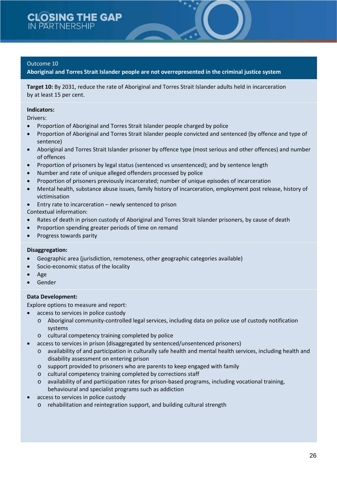**Aboriginal and Torres Strait Islander people are not overrepresented in the criminal justice system**

**Target 10:** By 2031, reduce the rate of Aboriginal and Torres Strait Islander adults held in incarceration by at least 15 per cent.

#### **Indicators:**

Drivers:

- Proportion of Aboriginal and Torres Strait Islander people charged by police
- Proportion of Aboriginal and Torres Strait Islander people convicted and sentenced (by offence and type of sentence)
- Aboriginal and Torres Strait Islander prisoner by offence type (most serious and other offences) and number of offences
- Proportion of prisoners by legal status (sentenced vs unsentenced); and by sentence length
- Number and rate of unique alleged offenders processed by police
- Proportion of prisoners previously incarcerated; number of unique episodes of incarceration
- Mental health, substance abuse issues, family history of incarceration, employment post release, history of victimisation
- Entry rate to incarceration newly sentenced to prison

Contextual information:

- Rates of death in prison custody of Aboriginal and Torres Strait Islander prisoners, by cause of death
- Proportion spending greater periods of time on remand
- Progress towards parity

#### **Disaggregation:**

- Geographic area (jurisdiction, remoteness, other geographic categories available)
- Socio-economic status of the locality
- Age
- **Gender**

#### **Data Development:**

- access to services in police custody
	- o Aboriginal community-controlled legal services, including data on police use of custody notification systems
	- o cultural competency training completed by police
- access to services in prison (disaggregated by sentenced/unsentenced prisoners)
	- o availability of and participation in culturally safe health and mental health services, including health and disability assessment on entering prison
	- o support provided to prisoners who are parents to keep engaged with family
	- o cultural competency training completed by corrections staff
	- o availability of and participation rates for prison-based programs, including vocational training, behavioural and specialist programs such as addiction
- access to services in police custody
	- o rehabilitation and reintegration support, and building cultural strength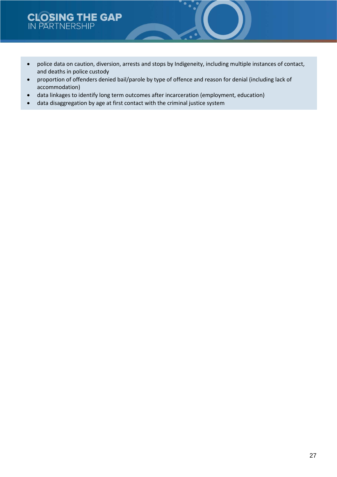# **CLOSING THE GAP**

- police data on caution, diversion, arrests and stops by Indigeneity, including multiple instances of contact, and deaths in police custody
- proportion of offenders denied bail/parole by type of offence and reason for denial (including lack of accommodation)
- data linkages to identify long term outcomes after incarceration (employment, education)
- data disaggregation by age at first contact with the criminal justice system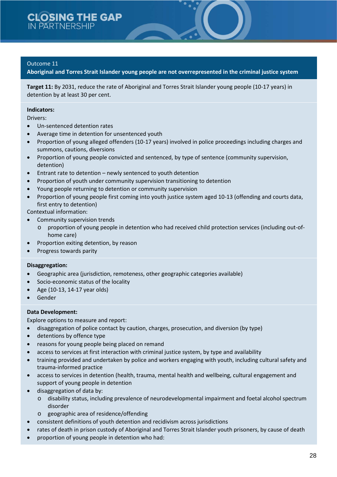**Aboriginal and Torres Strait Islander young people are not overrepresented in the criminal justice system**

**Target 11:** By 2031, reduce the rate of Aboriginal and Torres Strait Islander young people (10-17 years) in detention by at least 30 per cent.

#### **Indicators:**

Drivers:

- Un-sentenced detention rates
- Average time in detention for unsentenced youth
- Proportion of young alleged offenders (10-17 years) involved in police proceedings including charges and summons, cautions, diversions
- Proportion of young people convicted and sentenced, by type of sentence (community supervision, detention)
- Entrant rate to detention newly sentenced to youth detention
- Proportion of youth under community supervision transitioning to detention
- Young people returning to detention or community supervision
- Proportion of young people first coming into youth justice system aged 10-13 (offending and courts data, first entry to detention)

Contextual information:

- Community supervision trends
	- o proportion of young people in detention who had received child protection services (including out-ofhome care)
- Proportion exiting detention, by reason
- Progress towards parity

#### **Disaggregation:**

- Geographic area (jurisdiction, remoteness, other geographic categories available)
- Socio-economic status of the locality
- Age (10-13, 14-17 year olds)
- **Gender**

#### **Data Development:**

- disaggregation of police contact by caution, charges, prosecution, and diversion (by type)
- detentions by offence type
- reasons for young people being placed on remand
- access to services at first interaction with criminal justice system, by type and availability
- training provided and undertaken by police and workers engaging with youth, including cultural safety and trauma-informed practice
- access to services in detention (health, trauma, mental health and wellbeing, cultural engagement and support of young people in detention
- disaggregation of data by:
	- o disability status, including prevalence of neurodevelopmental impairment and foetal alcohol spectrum disorder
	- o geographic area of residence/offending
- consistent definitions of youth detention and recidivism across jurisdictions
- rates of death in prison custody of Aboriginal and Torres Strait Islander youth prisoners, by cause of death
- proportion of young people in detention who had: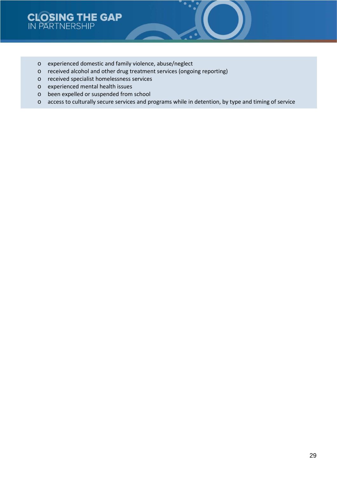- o experienced domestic and family violence, abuse/neglect
- o received alcohol and other drug treatment services (ongoing reporting)
- o received specialist homelessness services
- o experienced mental health issues
- o been expelled or suspended from school
- o access to culturally secure services and programs while in detention, by type and timing of service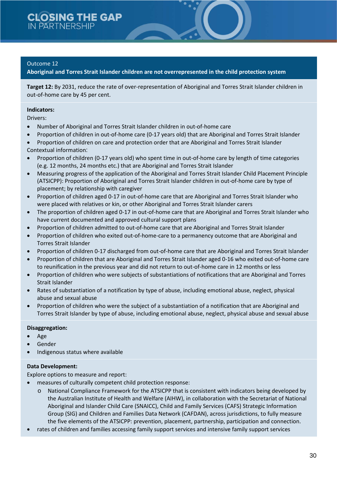**Aboriginal and Torres Strait Islander children are not overrepresented in the child protection system**

**Target 12:** By 2031, reduce the rate of over-representation of Aboriginal and Torres Strait Islander children in out-of-home care by 45 per cent.

#### **Indicators:**

Drivers:

- Number of Aboriginal and Torres Strait Islander children in out-of-home care
- Proportion of children in out-of-home care (0-17 years old) that are Aboriginal and Torres Strait Islander
- Proportion of children on care and protection order that are Aboriginal and Torres Strait Islander Contextual information:
- Proportion of children (0-17 years old) who spent time in out-of-home care by length of time categories (e.g. 12 months, 24 months etc.) that are Aboriginal and Torres Strait Islander
- Measuring progress of the application of the Aboriginal and Torres Strait Islander Child Placement Principle (ATSICPP): Proportion of Aboriginal and Torres Strait Islander children in out-of-home care by type of placement; by relationship with caregiver
- Proportion of children aged 0-17 in out-of-home care that are Aboriginal and Torres Strait Islander who were placed with relatives or kin, or other Aboriginal and Torres Strait Islander carers
- The proportion of children aged 0-17 in out-of-home care that are Aboriginal and Torres Strait Islander who have current documented and approved cultural support plans
- Proportion of children admitted to out-of-home care that are Aboriginal and Torres Strait Islander
- Proportion of children who exited out-of-home-care to a permanency outcome that are Aboriginal and Torres Strait Islander
- Proportion of children 0-17 discharged from out-of-home care that are Aboriginal and Torres Strait Islander
- Proportion of children that are Aboriginal and Torres Strait Islander aged 0-16 who exited out-of-home care to reunification in the previous year and did not return to out-of-home care in 12 months or less
- Proportion of children who were subjects of substantiations of notifications that are Aboriginal and Torres Strait Islander
- Rates of substantiation of a notification by type of abuse, including emotional abuse, neglect, physical abuse and sexual abuse
- Proportion of children who were the subject of a substantiation of a notification that are Aboriginal and Torres Strait Islander by type of abuse, including emotional abuse, neglect, physical abuse and sexual abuse

#### **Disaggregation:**

- Age
- **Gender**
- Indigenous status where available

#### **Data Development:**

- measures of culturally competent child protection response:
	- o National Compliance Framework for the ATSICPP that is consistent with indicators being developed by the Australian Institute of Health and Welfare (AIHW), in collaboration with the Secretariat of National Aboriginal and Islander Child Care (SNAICC), Child and Family Services (CAFS) Strategic Information Group (SIG) and Children and Families Data Network (CAFDAN), across jurisdictions, to fully measure the five elements of the ATSICPP: prevention, placement, partnership, participation and connection.
- rates of children and families accessing family support services and intensive family support services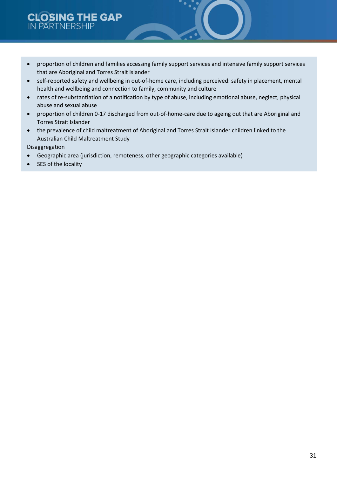# **CLOSING THE GAP IN PARTNERSHIP**

- proportion of children and families accessing family support services and intensive family support services that are Aboriginal and Torres Strait Islander
- self-reported safety and wellbeing in out-of-home care, including perceived: safety in placement, mental health and wellbeing and connection to family, community and culture
- rates of re-substantiation of a notification by type of abuse, including emotional abuse, neglect, physical abuse and sexual abuse
- proportion of children 0-17 discharged from out-of-home-care due to ageing out that are Aboriginal and Torres Strait Islander
- the prevalence of child maltreatment of Aboriginal and Torres Strait Islander children linked to the Australian Child Maltreatment Study

Disaggregation

- Geographic area (jurisdiction, remoteness, other geographic categories available)
- SES of the locality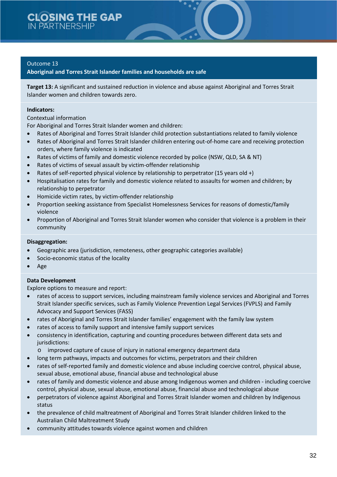**Aboriginal and Torres Strait Islander families and households are safe**

**Target 13:** A significant and sustained reduction in violence and abuse against Aboriginal and Torres Strait Islander women and children towards zero.

#### **Indicators:**

#### Contextual information

For Aboriginal and Torres Strait Islander women and children:

- Rates of Aboriginal and Torres Strait Islander child protection substantiations related to family violence
- Rates of Aboriginal and Torres Strait Islander children entering out-of-home care and receiving protection orders, where family violence is indicated
- Rates of victims of family and domestic violence recorded by police (NSW, QLD, SA & NT)
- Rates of victims of sexual assault by victim-offender relationship
- Rates of self-reported physical violence by relationship to perpetrator (15 years old +)
- Hospitalisation rates for family and domestic violence related to assaults for women and children; by relationship to perpetrator
- Homicide victim rates, by victim-offender relationship
- Proportion seeking assistance from Specialist Homelessness Services for reasons of domestic/family violence
- Proportion of Aboriginal and Torres Strait Islander women who consider that violence is a problem in their community

#### **Disaggregation:**

- Geographic area (jurisdiction, remoteness, other geographic categories available)
- Socio-economic status of the locality
- Age

#### **Data Development**

- rates of access to support services, including mainstream family violence services and Aboriginal and Torres Strait Islander specific services, such as Family Violence Prevention Legal Services (FVPLS) and Family Advocacy and Support Services (FASS)
- rates of Aboriginal and Torres Strait Islander families' engagement with the family law system
- rates of access to family support and intensive family support services
- consistency in identification, capturing and counting procedures between different data sets and jurisdictions:
	- o improved capture of cause of injury in national emergency department data
- long term pathways, impacts and outcomes for victims, perpetrators and their children
- rates of self-reported family and domestic violence and abuse including coercive control, physical abuse, sexual abuse, emotional abuse, financial abuse and technological abuse
- rates of family and domestic violence and abuse among Indigenous women and children including coercive control, physical abuse, sexual abuse, emotional abuse, financial abuse and technological abuse
- perpetrators of violence against Aboriginal and Torres Strait Islander women and children by Indigenous status
- the prevalence of child maltreatment of Aboriginal and Torres Strait Islander children linked to the Australian Child Maltreatment Study
- community attitudes towards violence against women and children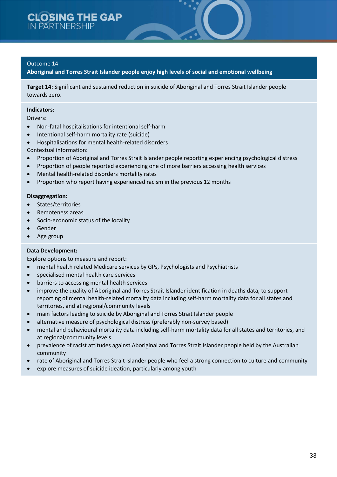**Aboriginal and Torres Strait Islander people enjoy high levels of social and emotional wellbeing**

**Target 14:** Significant and sustained reduction in suicide of Aboriginal and Torres Strait Islander people towards zero.

#### **Indicators:**

Drivers:

- Non-fatal hospitalisations for intentional self-harm
- Intentional self-harm mortality rate (suicide)
- Hospitalisations for mental health-related disorders
- Contextual information:
- Proportion of Aboriginal and Torres Strait Islander people reporting experiencing psychological distress
- Proportion of people reported experiencing one of more barriers accessing health services
- Mental health-related disorders mortality rates
- Proportion who report having experienced racism in the previous 12 months

#### **Disaggregation:**

- States/territories
- Remoteness areas
- Socio-economic status of the locality
- Gender
- Age group

#### **Data Development:**

- mental health related Medicare services by GPs, Psychologists and Psychiatrists
- specialised mental health care services
- barriers to accessing mental health services
- improve the quality of Aboriginal and Torres Strait Islander identification in deaths data, to support reporting of mental health-related mortality data including self-harm mortality data for all states and territories, and at regional/community levels
- main factors leading to suicide by Aboriginal and Torres Strait Islander people
- alternative measure of psychological distress (preferably non-survey based)
- mental and behavioural mortality data including self-harm mortality data for all states and territories, and at regional/community levels
- prevalence of racist attitudes against Aboriginal and Torres Strait Islander people held by the Australian community
- rate of Aboriginal and Torres Strait Islander people who feel a strong connection to culture and community
- explore measures of suicide ideation, particularly among youth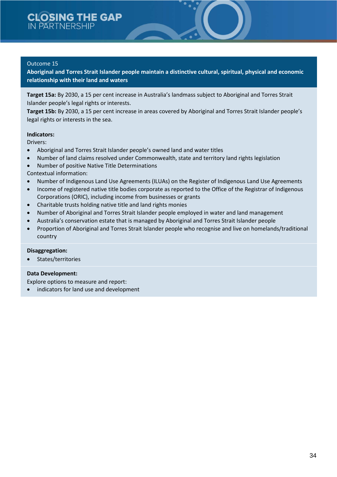**Aboriginal and Torres Strait Islander people maintain a distinctive cultural, spiritual, physical and economic relationship with their land and waters**

**Target 15a:** By 2030, a 15 per cent increase in Australia's landmass subject to Aboriginal and Torres Strait Islander people's legal rights or interests.

**Target 15b:** By 2030, a 15 per cent increase in areas covered by Aboriginal and Torres Strait Islander people's legal rights or interests in the sea.

#### **Indicators:**

Drivers:

- Aboriginal and Torres Strait Islander people's owned land and water titles
- Number of land claims resolved under Commonwealth, state and territory land rights legislation
- Number of positive Native Title Determinations

Contextual information:

- Number of Indigenous Land Use Agreements (ILUAs) on the Register of Indigenous Land Use Agreements
- Income of registered native title bodies corporate as reported to the Office of the Registrar of Indigenous Corporations (ORIC), including income from businesses or grants
- Charitable trusts holding native title and land rights monies
- Number of Aboriginal and Torres Strait Islander people employed in water and land management
- Australia's conservation estate that is managed by Aboriginal and Torres Strait Islander people
- Proportion of Aboriginal and Torres Strait Islander people who recognise and live on homelands/traditional country

#### **Disaggregation:**

• States/territories

#### **Data Development:**

Explore options to measure and report:

indicators for land use and development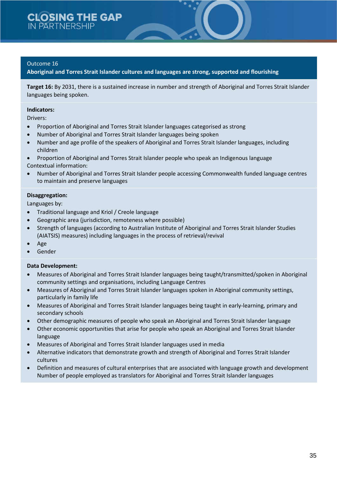**Aboriginal and Torres Strait Islander cultures and languages are strong, supported and flourishing**

**Target 16:** By 2031, there is a sustained increase in number and strength of Aboriginal and Torres Strait Islander languages being spoken.

#### **Indicators:**

Drivers:

- Proportion of Aboriginal and Torres Strait Islander languages categorised as strong
- Number of Aboriginal and Torres Strait Islander languages being spoken
- Number and age profile of the speakers of Aboriginal and Torres Strait Islander languages, including children
- Proportion of Aboriginal and Torres Strait Islander people who speak an Indigenous language Contextual information:
- Number of Aboriginal and Torres Strait Islander people accessing Commonwealth funded language centres to maintain and preserve languages

#### **Disaggregation:**

Languages by:

- Traditional language and Kriol / Creole language
- Geographic area (jurisdiction, remoteness where possible)
- Strength of languages (according to Australian Institute of Aboriginal and Torres Strait Islander Studies (AIATSIS) measures) including languages in the process of retrieval/revival
- Age
- **Gender**

#### **Data Development:**

- Measures of Aboriginal and Torres Strait Islander languages being taught/transmitted/spoken in Aboriginal community settings and organisations, including Language Centres
- Measures of Aboriginal and Torres Strait Islander languages spoken in Aboriginal community settings, particularly in family life
- Measures of Aboriginal and Torres Strait Islander languages being taught in early-learning, primary and secondary schools
- Other demographic measures of people who speak an Aboriginal and Torres Strait Islander language
- Other economic opportunities that arise for people who speak an Aboriginal and Torres Strait Islander language
- Measures of Aboriginal and Torres Strait Islander languages used in media
- Alternative indicators that demonstrate growth and strength of Aboriginal and Torres Strait Islander cultures
- Definition and measures of cultural enterprises that are associated with language growth and development Number of people employed as translators for Aboriginal and Torres Strait Islander languages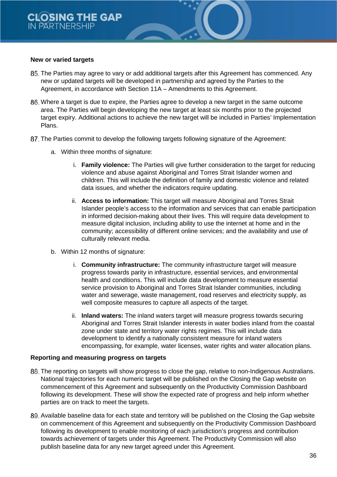#### **New or varied targets**

- The Parties may agree to vary or add additional targets after this Agreement has commenced. Any new or updated targets will be developed in partnership and agreed by the Parties to the Agreement, in accordance with Section 11A – Amendments to this Agreement.
- Where a target is due to expire, the Parties agree to develop a new target in the same outcome area. The Parties will begin developing the new target at least six months prior to the projected target expiry. Additional actions to achieve the new target will be included in Parties' Implementation Plans.
- 87. The Parties commit to develop the following targets following signature of the Agreement:
	- a. Within three months of signature:
		- i. **Family violence:** The Parties will give further consideration to the target for reducing violence and abuse against Aboriginal and Torres Strait Islander women and children. This will include the definition of family and domestic violence and related data issues, and whether the indicators require updating.
		- ii. **Access to information:** This target will measure Aboriginal and Torres Strait Islander people's access to the information and services that can enable participation in informed decision-making about their lives. This will require data development to measure digital inclusion, including ability to use the internet at home and in the community; accessibility of different online services; and the availability and use of culturally relevant media.
	- b. Within 12 months of signature:
		- i. **Community infrastructure:** The community infrastructure target will measure progress towards parity in infrastructure, essential services, and environmental health and conditions. This will include data development to measure essential service provision to Aboriginal and Torres Strait Islander communities, including water and sewerage, waste management, road reserves and electricity supply, as well composite measures to capture all aspects of the target.
		- ii. **Inland waters:** The inland waters target will measure progress towards securing Aboriginal and Torres Strait Islander interests in water bodies inland from the coastal zone under state and territory water rights regimes. This will include data development to identify a nationally consistent measure for inland waters encompassing, for example, water licenses, water rights and water allocation plans.

#### **Reporting and measuring progress on targets**

- 88. The reporting on targets will show progress to close the gap, relative to non-Indigenous Australians. National trajectories for each numeric target will be published on the Closing the Gap website on commencement of this Agreement and subsequently on the Productivity Commission Dashboard following its development. These will show the expected rate of progress and help inform whether parties are on track to meet the targets.
- 89. Available baseline data for each state and territory will be published on the Closing the Gap website on commencement of this Agreement and subsequently on the Productivity Commission Dashboard following its development to enable monitoring of each jurisdiction's progress and contribution towards achievement of targets under this Agreement. The Productivity Commission will also publish baseline data for any new target agreed under this Agreement.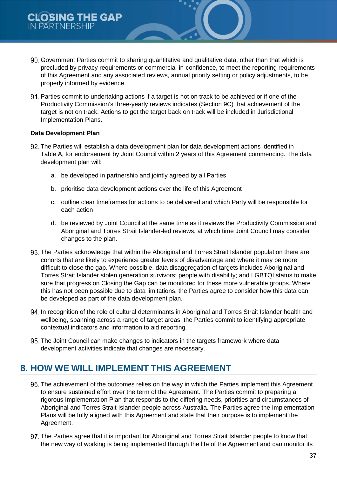- Government Parties commit to sharing quantitative and qualitative data, other than that which is precluded by privacy requirements or commercial-in-confidence, to meet the reporting requirements of this Agreement and any associated reviews, annual priority setting or policy adjustments, to be properly informed by evidence.
- Parties commit to undertaking actions if a target is not on track to be achieved or if one of the Productivity Commission's three-yearly reviews indicates (Section 9C) that achievement of the target is not on track. Actions to get the target back on track will be included in Jurisdictional Implementation Plans.

#### **Data Development Plan**

- The Parties will establish a data development plan for data development actions identified in Table A, for endorsement by Joint Council within 2 years of this Agreement commencing. The data development plan will:
	- a. be developed in partnership and jointly agreed by all Parties
	- b. prioritise data development actions over the life of this Agreement
	- c. outline clear timeframes for actions to be delivered and which Party will be responsible for each action
	- d. be reviewed by Joint Council at the same time as it reviews the Productivity Commission and Aboriginal and Torres Strait Islander-led reviews, at which time Joint Council may consider changes to the plan.
- The Parties acknowledge that within the Aboriginal and Torres Strait Islander population there are cohorts that are likely to experience greater levels of disadvantage and where it may be more difficult to close the gap. Where possible, data disaggregation of targets includes Aboriginal and Torres Strait Islander stolen generation survivors; people with disability; and LGBTQI status to make sure that progress on Closing the Gap can be monitored for these more vulnerable groups. Where this has not been possible due to data limitations, the Parties agree to consider how this data can be developed as part of the data development plan.
- 94. In recognition of the role of cultural determinants in Aboriginal and Torres Strait Islander health and wellbeing, spanning across a range of target areas, the Parties commit to identifying appropriate contextual indicators and information to aid reporting.
- 95. The Joint Council can make changes to indicators in the targets framework where data development activities indicate that changes are necessary.

# **8. HOW WE WILL IMPLEMENT THIS AGREEMENT**

- The achievement of the outcomes relies on the way in which the Parties implement this Agreement to ensure sustained effort over the term of the Agreement. The Parties commit to preparing a rigorous Implementation Plan that responds to the differing needs, priorities and circumstances of Aboriginal and Torres Strait Islander people across Australia. The Parties agree the Implementation Plans will be fully aligned with this Agreement and state that their purpose is to implement the Agreement.
- 97. The Parties agree that it is important for Aboriginal and Torres Strait Islander people to know that the new way of working is being implemented through the life of the Agreement and can monitor its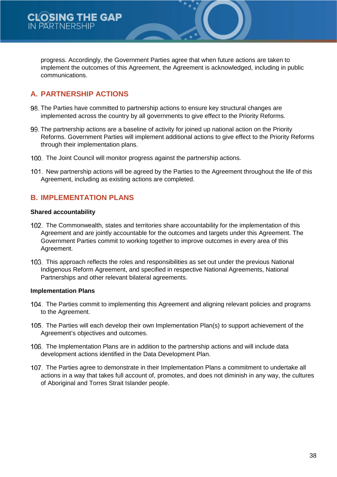progress. Accordingly, the Government Parties agree that when future actions are taken to implement the outcomes of this Agreement, the Agreement is acknowledged, including in public communications.

# **A. PARTNERSHIP ACTIONS**

- 98. The Parties have committed to partnership actions to ensure key structural changes are implemented across the country by all governments to give effect to the Priority Reforms.
- The partnership actions are a baseline of activity for joined up national action on the Priority Reforms. Government Parties will implement additional actions to give effect to the Priority Reforms through their implementation plans.
- 100. The Joint Council will monitor progress against the partnership actions.
- 101. New partnership actions will be agreed by the Parties to the Agreement throughout the life of this Agreement, including as existing actions are completed.

## **B. IMPLEMENTATION PLANS**

#### **Shared accountability**

- The Commonwealth, states and territories share accountability for the implementation of this Agreement and are jointly accountable for the outcomes and targets under this Agreement. The Government Parties commit to working together to improve outcomes in every area of this Agreement.
- This approach reflects the roles and responsibilities as set out under the previous National Indigenous Reform Agreement, and specified in respective National Agreements, National Partnerships and other relevant bilateral agreements.

#### **Implementation Plans**

- 104. The Parties commit to implementing this Agreement and aligning relevant policies and programs to the Agreement.
- 105. The Parties will each develop their own Implementation Plan(s) to support achievement of the Agreement's objectives and outcomes.
- The Implementation Plans are in addition to the partnership actions and will include data development actions identified in the Data Development Plan.
- The Parties agree to demonstrate in their Implementation Plans a commitment to undertake all actions in a way that takes full account of, promotes, and does not diminish in any way, the cultures of Aboriginal and Torres Strait Islander people.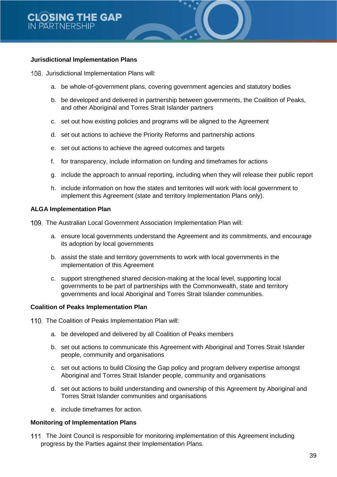#### **Jurisdictional Implementation Plans**

108. Jurisdictional Implementation Plans will:

- a. be whole-of-government plans, covering government agencies and statutory bodies
- b. be developed and delivered in partnership between governments, the Coalition of Peaks, and other Aboriginal and Torres Strait Islander partners
- c. set out how existing policies and programs will be aligned to the Agreement
- d. set out actions to achieve the Priority Reforms and partnership actions
- e. set out actions to achieve the agreed outcomes and targets
- f. for transparency, include information on funding and timeframes for actions
- g. include the approach to annual reporting, including when they will release their public report
- h. include information on how the states and territories will work with local government to implement this Agreement (state and territory Implementation Plans only).

#### **ALGA Implementation Plan**

- The Australian Local Government Association Implementation Plan will:
	- a. ensure local governments understand the Agreement and its commitments, and encourage its adoption by local governments
	- b. assist the state and territory governments to work with local governments in the implementation of this Agreement
	- c. support strengthened shared decision-making at the local level, supporting local governments to be part of partnerships with the Commonwealth, state and territory governments and local Aboriginal and Torres Strait Islander communities.

#### **Coalition of Peaks Implementation Plan**

- 110. The Coalition of Peaks Implementation Plan will:
	- a. be developed and delivered by all Coalition of Peaks members
	- b. set out actions to communicate this Agreement with Aboriginal and Torres Strait Islander people, community and organisations
	- c. set out actions to build Closing the Gap policy and program delivery expertise amongst Aboriginal and Torres Strait Islander people, community and organisations
	- d. set out actions to build understanding and ownership of this Agreement by Aboriginal and Torres Strait Islander communities and organisations
	- e. include timeframes for action.

#### **Monitoring of Implementation Plans**

111. The Joint Council is responsible for monitoring implementation of this Agreement including progress by the Parties against their Implementation Plans.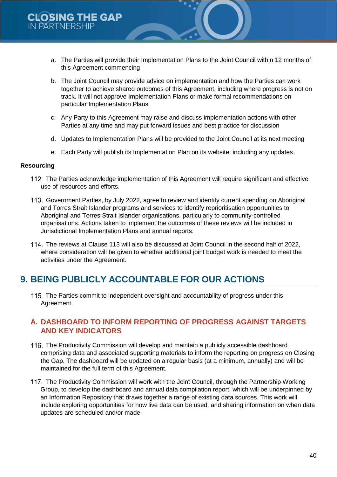- a. The Parties will provide their Implementation Plans to the Joint Council within 12 months of this Agreement commencing
- b. The Joint Council may provide advice on implementation and how the Parties can work together to achieve shared outcomes of this Agreement, including where progress is not on track. It will not approve Implementation Plans or make formal recommendations on particular Implementation Plans
- c. Any Party to this Agreement may raise and discuss implementation actions with other Parties at any time and may put forward issues and best practice for discussion
- d. Updates to Implementation Plans will be provided to the Joint Council at its next meeting
- e. Each Party will publish its Implementation Plan on its website, including any updates.

#### **Resourcing**

- The Parties acknowledge implementation of this Agreement will require significant and effective use of resources and efforts.
- 113. Government Parties, by July 2022, agree to review and identify current spending on Aboriginal and Torres Strait Islander programs and services to identify reprioritisation opportunities to Aboriginal and Torres Strait Islander organisations, particularly to community-controlled organisations. Actions taken to implement the outcomes of these reviews will be included in Jurisdictional Implementation Plans and annual reports.
- The reviews at Clause 113 will also be discussed at Joint Council in the second half of 2022, where consideration will be given to whether additional joint budget work is needed to meet the activities under the Agreement.

# **9. BEING PUBLICLY ACCOUNTABLE FOR OUR ACTIONS**

115. The Parties commit to independent oversight and accountability of progress under this Agreement.

### **A. DASHBOARD TO INFORM REPORTING OF PROGRESS AGAINST TARGETS AND KEY INDICATORS**

- The Productivity Commission will develop and maintain a publicly accessible dashboard comprising data and associated supporting materials to inform the reporting on progress on Closing the Gap. The dashboard will be updated on a regular basis (at a minimum, annually) and will be maintained for the full term of this Agreement.
- 117. The Productivity Commission will work with the Joint Council, through the Partnership Working Group, to develop the dashboard and annual data compilation report, which will be underpinned by an Information Repository that draws together a range of existing data sources. This work will include exploring opportunities for how live data can be used, and sharing information on when data updates are scheduled and/or made.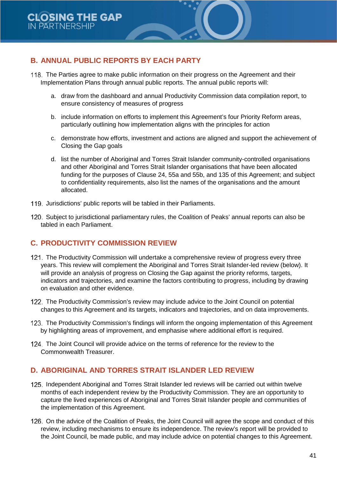# **B. ANNUAL PUBLIC REPORTS BY EACH PARTY**

- The Parties agree to make public information on their progress on the Agreement and their Implementation Plans through annual public reports. The annual public reports will:
	- a. draw from the dashboard and annual Productivity Commission data compilation report, to ensure consistency of measures of progress
	- b. include information on efforts to implement this Agreement's four Priority Reform areas, particularly outlining how implementation aligns with the principles for action
	- c. demonstrate how efforts, investment and actions are aligned and support the achievement of Closing the Gap goals
	- d. list the number of Aboriginal and Torres Strait Islander community-controlled organisations and other Aboriginal and Torres Strait Islander organisations that have been allocated funding for the purposes of Clause 24, 55a and 55b, and 135 of this Agreement; and subject to confidentiality requirements, also list the names of the organisations and the amount allocated.
- 119. Jurisdictions' public reports will be tabled in their Parliaments.
- 120. Subject to jurisdictional parliamentary rules, the Coalition of Peaks' annual reports can also be tabled in each Parliament.

# **C. PRODUCTIVITY COMMISSION REVIEW**

- The Productivity Commission will undertake a comprehensive review of progress every three years. This review will complement the Aboriginal and Torres Strait Islander-led review (below). It will provide an analysis of progress on Closing the Gap against the priority reforms, targets, indicators and trajectories, and examine the factors contributing to progress, including by drawing on evaluation and other evidence.
- The Productivity Commission's review may include advice to the Joint Council on potential changes to this Agreement and its targets, indicators and trajectories, and on data improvements.
- 123. The Productivity Commission's findings will inform the ongoing implementation of this Agreement by highlighting areas of improvement, and emphasise where additional effort is required.
- 124. The Joint Council will provide advice on the terms of reference for the review to the Commonwealth Treasurer.

# **D. ABORIGINAL AND TORRES STRAIT ISLANDER LED REVIEW**

- 125. Independent Aboriginal and Torres Strait Islander led reviews will be carried out within twelve months of each independent review by the Productivity Commission. They are an opportunity to capture the lived experiences of Aboriginal and Torres Strait Islander people and communities of the implementation of this Agreement.
- 126. On the advice of the Coalition of Peaks, the Joint Council will agree the scope and conduct of this review, including mechanisms to ensure its independence. The review's report will be provided to the Joint Council, be made public, and may include advice on potential changes to this Agreement.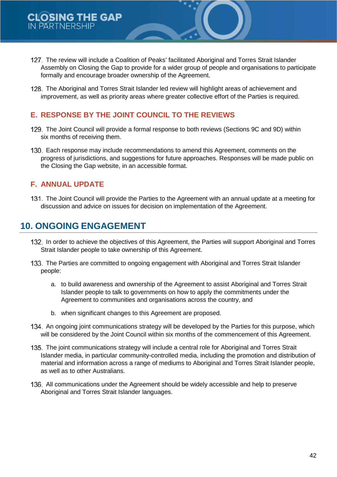- The review will include a Coalition of Peaks' facilitated Aboriginal and Torres Strait Islander Assembly on Closing the Gap to provide for a wider group of people and organisations to participate formally and encourage broader ownership of the Agreement.
- The Aboriginal and Torres Strait Islander led review will highlight areas of achievement and improvement, as well as priority areas where greater collective effort of the Parties is required.

## **E. RESPONSE BY THE JOINT COUNCIL TO THE REVIEWS**

- 129. The Joint Council will provide a formal response to both reviews (Sections 9C and 9D) within six months of receiving them.
- 130. Each response may include recommendations to amend this Agreement, comments on the progress of jurisdictions, and suggestions for future approaches. Responses will be made public on the Closing the Gap website, in an accessible format.

## **F. ANNUAL UPDATE**

The Joint Council will provide the Parties to the Agreement with an annual update at a meeting for discussion and advice on issues for decision on implementation of the Agreement.

# **10. ONGOING ENGAGEMENT**

- 132. In order to achieve the objectives of this Agreement, the Parties will support Aboriginal and Torres Strait Islander people to take ownership of this Agreement.
- 133. The Parties are committed to ongoing engagement with Aboriginal and Torres Strait Islander people:
	- a. to build awareness and ownership of the Agreement to assist Aboriginal and Torres Strait Islander people to talk to governments on how to apply the commitments under the Agreement to communities and organisations across the country, and
	- b. when significant changes to this Agreement are proposed.
- 134. An ongoing joint communications strategy will be developed by the Parties for this purpose, which will be considered by the Joint Council within six months of the commencement of this Agreement.
- The joint communications strategy will include a central role for Aboriginal and Torres Strait Islander media, in particular community-controlled media, including the promotion and distribution of material and information across a range of mediums to Aboriginal and Torres Strait Islander people, as well as to other Australians.
- All communications under the Agreement should be widely accessible and help to preserve Aboriginal and Torres Strait Islander languages.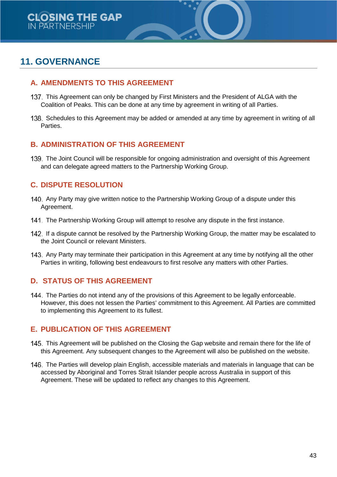# **11. GOVERNANCE**

## **A. AMENDMENTS TO THIS AGREEMENT**

- This Agreement can only be changed by First Ministers and the President of ALGA with the Coalition of Peaks. This can be done at any time by agreement in writing of all Parties.
- 138. Schedules to this Agreement may be added or amended at any time by agreement in writing of all Parties.

## **B. ADMINISTRATION OF THIS AGREEMENT**

The Joint Council will be responsible for ongoing administration and oversight of this Agreement and can delegate agreed matters to the Partnership Working Group.

# **C. DISPUTE RESOLUTION**

- 140. Any Party may give written notice to the Partnership Working Group of a dispute under this Agreement.
- 141. The Partnership Working Group will attempt to resolve any dispute in the first instance.
- 142. If a dispute cannot be resolved by the Partnership Working Group, the matter may be escalated to the Joint Council or relevant Ministers.
- 143. Any Party may terminate their participation in this Agreement at any time by notifying all the other Parties in writing, following best endeavours to first resolve any matters with other Parties.

### **D. STATUS OF THIS AGREEMENT**

144. The Parties do not intend any of the provisions of this Agreement to be legally enforceable. However, this does not lessen the Parties' commitment to this Agreement. All Parties are committed to implementing this Agreement to its fullest.

### **E. PUBLICATION OF THIS AGREEMENT**

- 145. This Agreement will be published on the Closing the Gap website and remain there for the life of this Agreement. Any subsequent changes to the Agreement will also be published on the website.
- 146. The Parties will develop plain English, accessible materials and materials in language that can be accessed by Aboriginal and Torres Strait Islander people across Australia in support of this Agreement. These will be updated to reflect any changes to this Agreement.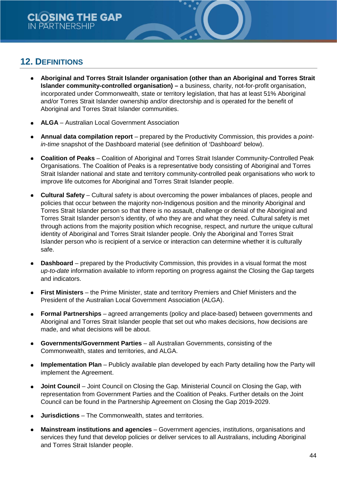# **12. DEFINITIONS**

- **Aboriginal and Torres Strait Islander organisation (other than an Aboriginal and Torres Strait Islander community-controlled organisation) –** a business, charity, not-for-profit organisation, incorporated under Commonwealth, state or territory legislation, that has at least 51% Aboriginal and/or Torres Strait Islander ownership and/or directorship and is operated for the benefit of Aboriginal and Torres Strait Islander communities.
- **ALGA** Australian Local Government Association
- **Annual data compilation report**  prepared by the Productivity Commission, this provides a *pointin-time* snapshot of the Dashboard material (see definition of 'Dashboard' below).
- **Coalition of Peaks** Coalition of Aboriginal and Torres Strait Islander Community-Controlled Peak Organisations. The Coalition of Peaks is a representative body consisting of Aboriginal and Torres Strait Islander national and state and territory community-controlled peak organisations who work to improve life outcomes for Aboriginal and Torres Strait Islander people.
- **Cultural Safety** Cultural safety is about overcoming the power imbalances of places, people and policies that occur between the majority non-Indigenous position and the minority Aboriginal and Torres Strait Islander person so that there is no assault, challenge or denial of the Aboriginal and Torres Strait Islander person's identity, of who they are and what they need. Cultural safety is met through actions from the majority position which recognise, respect, and nurture the unique cultural identity of Aboriginal and Torres Strait Islander people. Only the Aboriginal and Torres Strait Islander person who is recipient of a service or interaction can determine whether it is culturally safe.
- **Dashboard** prepared by the Productivity Commission, this provides in a visual format the most *up-to-date* information available to inform reporting on progress against the Closing the Gap targets and indicators.
- **First Ministers** the Prime Minister, state and territory Premiers and Chief Ministers and the President of the Australian Local Government Association (ALGA).
- **Formal Partnerships** agreed arrangements (policy and place-based) between governments and Aboriginal and Torres Strait Islander people that set out who makes decisions, how decisions are made, and what decisions will be about.
- **Governments/Government Parties** all Australian Governments, consisting of the Commonwealth, states and territories, and ALGA.
- **Implementation Plan** Publicly available plan developed by each Party detailing how the Party will implement the Agreement.
- **Joint Council** Joint Council on Closing the Gap. Ministerial Council on Closing the Gap, with representation from Government Parties and the Coalition of Peaks. Further details on the Joint Council can be found in the Partnership Agreement on Closing the Gap 2019-2029.
- **Jurisdictions** The Commonwealth, states and territories.
- **Mainstream institutions and agencies** Government agencies, institutions, organisations and services they fund that develop policies or deliver services to all Australians, including Aboriginal and Torres Strait Islander people.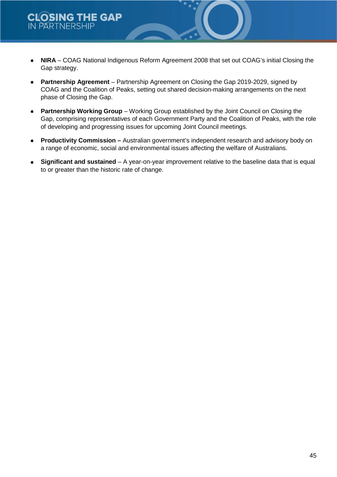- **NIRA** COAG National Indigenous Reform Agreement 2008 that set out COAG's initial Closing the Gap strategy.
- **Partnership Agreement** Partnership Agreement on Closing the Gap 2019-2029, signed by COAG and the Coalition of Peaks, setting out shared decision-making arrangements on the next phase of Closing the Gap.
- **Partnership Working Group** Working Group established by the Joint Council on Closing the Gap, comprising representatives of each Government Party and the Coalition of Peaks, with the role of developing and progressing issues for upcoming Joint Council meetings.
- **Productivity Commission –** Australian government's independent research and advisory body on  $\bullet$ a range of economic, social and environmental issues affecting the welfare of Australians.
- **Significant and sustained** A year-on-year improvement relative to the baseline data that is equal  $\bullet$ to or greater than the historic rate of change.